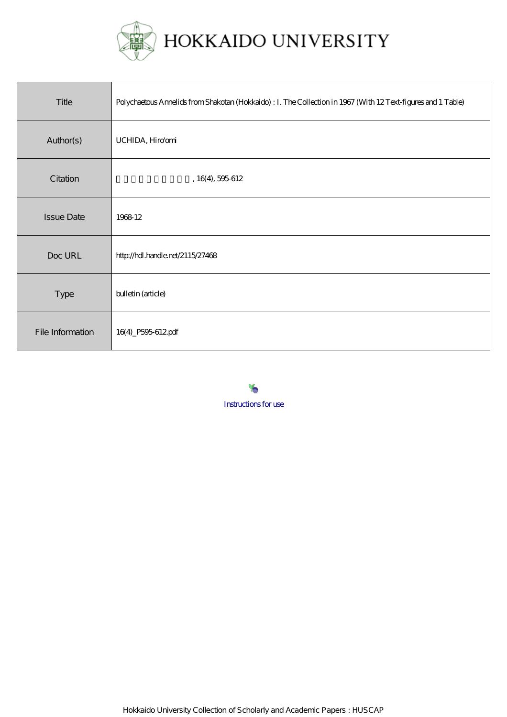

| Title             | Polychaetous Annelids from Shakotan (Hokkaido) : I. The Collection in 1967 (With 12 Text-figures and 1 Table) |
|-------------------|---------------------------------------------------------------------------------------------------------------|
| Author(s)         | UCHIDA, Hiro'orni                                                                                             |
| Citation          | , 16(4), 595612                                                                                               |
| <b>Issue Date</b> | 1968 12                                                                                                       |
| Doc URL           | http://hdl.handle.net/2115/27468                                                                              |
| <b>Type</b>       | bulletin (article)                                                                                            |
| File Information  | 16(4)_P595-612pdf                                                                                             |

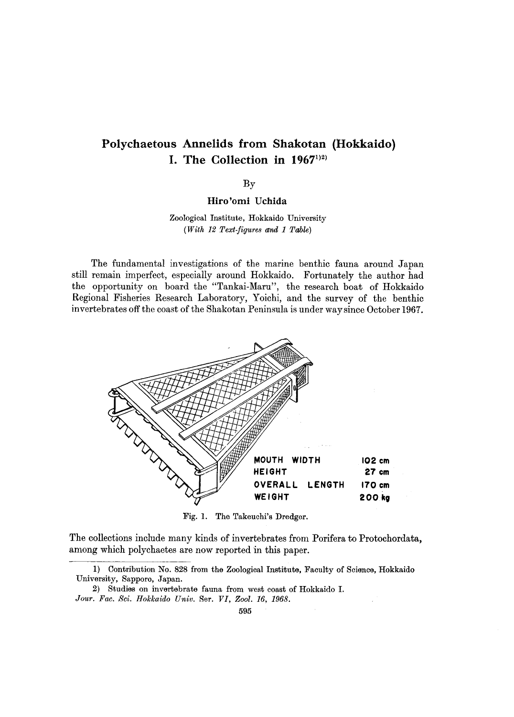# **Polychaetous Annelids from Shakotan (Hokkaido) I.** The Collection in  $1967^{1/2}$

By

**Hiro'omi Uchida** 

Zoological Institute, Hokkaido University *(With* 12 *Text-figures and* 1 *Table)* 

The fundamental investigations of the marine benthic fauna around Japan still remain imperfect, especially around Hokkaido. Fortunately the author had the opportunity on board the "Tankai-Maru", the research boat of Hokkaido Regional Fisheries Research Laboratory, Yoichi, and the survey of the benthic invertebrates off the coast of the Shakotan Peninsula is under way since October 1967.



Fig. 1. The Takeuchi's Dredger.

The collections include many kinds of invertebrates from Porifera to Protochordata, among which polychaetes are now reported in this paper.

<sup>1)</sup> Oontribution No. 828 from the Zoological Institute, Faculty of Science, Hokkaido University, Sapporo, Japan.

<sup>2)</sup> Studies on invertebrate fauna from west coast of Hokkaido I. *Jour. Fac. Sci. Hokkaido Univ.* Ser. *VI, Zool.* 16, 1968.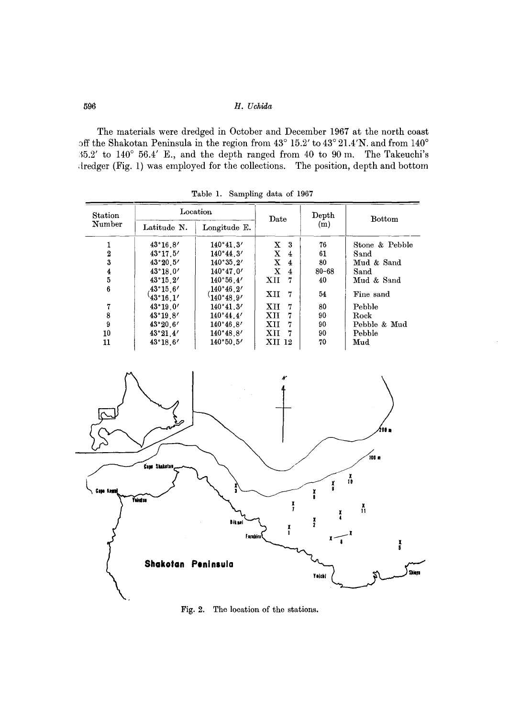The materials were dredged in October and December 1967 at the north coast off the Shakotan Peninsula in the region from  $43^{\circ}$  15.2' to  $43^{\circ}$  21.4'N. and from  $140^{\circ}$ 15.2' to 140° 56.4' E., and the depth ranged from 40 to 90 m. The Takeuchi's dredger (Fig. 1) was employed for the collections. The position, depth and bottom

| Station<br>Number | Location                               |                        | Date              | Depth     | <b>Bottom</b>     |
|-------------------|----------------------------------------|------------------------|-------------------|-----------|-------------------|
|                   | Latitude N.                            | Longitude E.           |                   | (m)       |                   |
|                   | $43^{\circ}16.8'$                      | 140°41.3'              | X<br>-3           | 76        | Stone $\&$ Pebble |
| $\boldsymbol{2}$  | 43°17.5'                               | 140°44.3'              | $\mathbf{X}$<br>4 | 61        | Sand              |
| 3                 | 43°20.5'                               | 140°35.2'              | X<br>4            | 80        | Mud & Sand        |
| 4                 | 43°18.0'                               | 140°47.0'              | $\mathbf{x}$<br>4 | $80 - 68$ | Sand              |
| 5                 | $43^{\circ}15.2'$                      | 140°56.4'              | XII<br>7          | 40        | Mud & Sand        |
| 6                 | $.43^{\circ}15.6^{\prime}$<br>43°16.1' | 140°46.2'<br>140°48.9' | XII<br>7          | 54        | Fine sand         |
| 7                 | 43°19.0'                               | 140°41.3'              | XII<br>7          | 80        | Pebble            |
| 8                 | $43^{\circ}19.8'$                      | 140°44.4'              | XН<br>7           | 90        | Rock              |
| 9                 | 43°20.6'                               | 140°46.8'              | XII<br>7          | 90        | Pebble & Mud      |
| 10                | 43°21.4'                               | 140°48.8'              | XII<br>7          | 90        | Pebble            |
| 11                | $43^{\circ}18.6'$                      | 140°50.5'              | XII 12            | 70        | Mud               |

Table 1. Sampling data of 1967



Fig. 2. The location of the stations.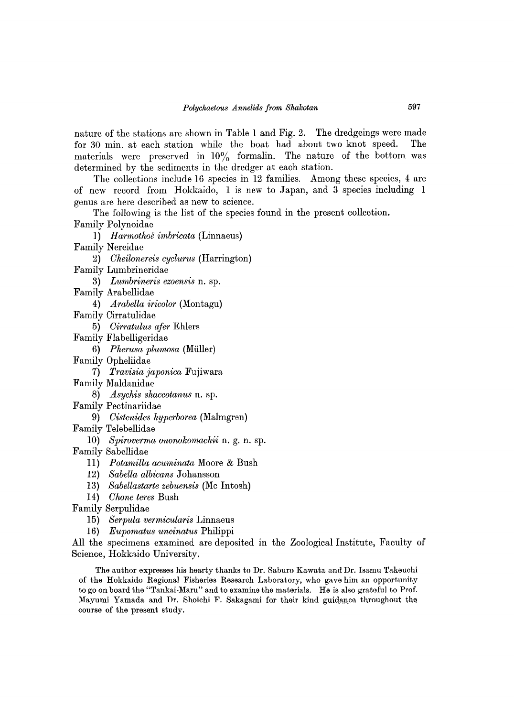nature of the stations are shown in Table 1 and Fig. 2. The dredgeings were made for 30 min. at each station while the boat had about two knot speed. The materials were preserved in  $10\%$  formalin. The nature of the bottom was determined by the sediments in the dredger at each station.

The collections include 16 species in 12 families. Among these species, 4 are of new record from Hokkaido, 1 is new to Japan, and 3 species including 1 genus are here described as new to science.

The following is the list of the species found in the present collection. Family Polynoidae

] ) *H armothoif imbricata* (Linnaeus)

- Family Nereidae
	- 2) *Cheilonereis cyclurus* (Harrington)
- Family Lumbrineridae
	- 3) *Lumbrineris ezoensis* n. sp.
- Family Arabellidae
	- 4) *Arabella iricolor* (Montagu)
- Family Cirratulidae
	- 5) *Cirratulus afer* Ehlers
- Family Flabelligeridae
	- *6) Pherusa plumosa* (Muller)
- Family Opheliidae
	- *7) Travisia japonica* Fujiwara
- Family Maldanidae
	- *8) Asychis shaccotanus* n. sp.
- Family Pectinariidae
	- 9) *Cistenides hyperborea* (Malmgren)
- Family Telebellidae
	- *10) Spiroverma ononokomachii* n. g. n. sp.
- Family Sabellidae
	- 11) *Potamilla acuminata* Moore & Bush
	- 12) *Sabella albicans* Johansson
	- 13) *Sabellastarte zebuensis* (Mc Intosh)
	- 14) *Chone teres* Bush
- Family Serpulidae
	- 15) *Serpula vermicularis* Linnaeus
	- *16) Eupomatus uncinatus* Philippi

All the specimens examined are deposited m the Zoological Institute, Faculty of Science, Hokkaido University.

The author expresses his hearty thanks to Dr. Saburo Kawata and Dr. Isamu Takeuchi of the Hokkaido Regional Fisheries Research Laboratory, who gave him an opportunity to go on board the "Tankai-Maru" and to examine the materials. He is also grateful to Prof. Mayumi Yamada and Dr. Shoichi F. Sakagami for their kind guidance throughout the course of the present study.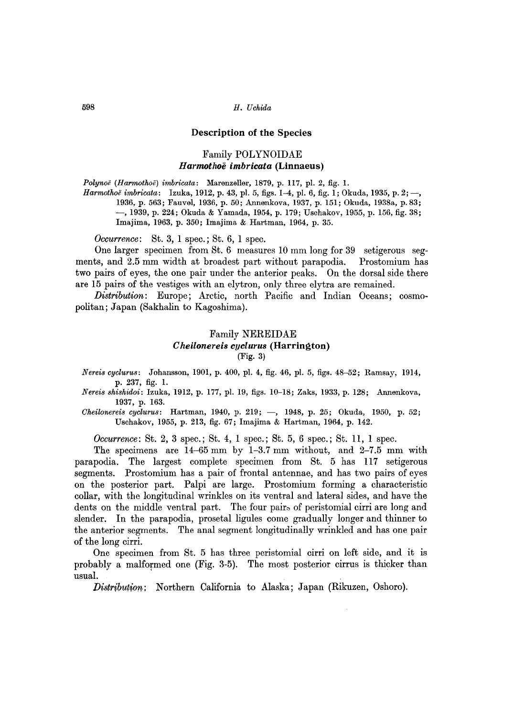#### Description of the Species

#### Family POLYNOIDAE *Harmotlwe imbricata* (Linnaeus)

*Polynoe (Harmothoii) imbricata:* Marenzeller, 1879, p. 117, pI. 2, fig. 1.

*Harmothoë imbricata*: Izuka, 1912, p. 43, pl. 5, figs. 1-4, pl. 6, fig. 1; Okuda, 1935, p. 2; -, 1936, p. 563; Fauvel, 1936, p. 50; Annenkova, 1937, p. 151; Okuda, 1938a, p.83; -,1939, p. 224; Okuda & Yamada, 1954, p. 179; Uschakov, 1955, p. 156, fig. 38; Imajima, 1963, p. 350; Imajima & Hartman, 1964, p. 35.

*Occurrence*: St. 3, 1 spec.; St. 6, 1 spec.

One larger specimen from St. 6 measures 10 mm long for 39 setigerous segments, and 2.5 mm width at broadest part without parapodia. Prostomium has two pairs of eyes, the one pair under the anterior peaks. On the dorsal side there are 15 pairs of the vestiges with an elytron, only three elytra are remained.

*Distribution:* Europe; Arctic, north Pacific and Indian Oceans; cosmopolitan; Japan (Sakhalin to Kagoshima).

## Family NEREIDAE *Cheilonereis cyclurus* (Harrington) (Fig. 3)

*Nereis cyclurus:* Johansson, 1901, p. 400, pI. 4, fig. 46, pI. 5, figs. 48-52; Ramsay, 1914, p. 237, fig. 1.

*Nereis shishidoi:* Izuka, 1912, p. 177, pI. 19, figs. 10-18; Zaks, 1933, p. 128; Annenkova, 1937, p. 163.

*Cheilonereis cyclurus:* Hartman, 1940, p. 219; -, 1948, p. 25; Okuda, 1950, p. 52; Uschakov, 1955, p. 213, fig. 67; Imajima & Hartman, 1964, p. 142.

*Occurrence*: St. 2, 3 spec.; St. 4, 1 spec.; St. 5, 6 spec.; St. 11, 1 spec.

The specimens are 14-65 mm by 1-3.7 mm without, and 2-7.5 mm with parapodia. The largest complete specimen from St. 5 has 117 setigerous segments. Prostomium has a pair of frontal antennae, and has two pairs of eyes on the posterior part. Palpi are large. Prostomium forming a characteristic collar, with the longitudinal wrinkles on its ventral and lateral sides, and have the dents on the middle ventral part. The four pairs of peristomial cirri are long and slender. In the parapodia, prosetal ligules come gradually longer and thinner to the anterior segments. The anal segment longitudinally wrinkled and has one pair of the long cirri.

One specimen from St. 5 has three peristomial cirri on left side, and it is probably a malformed one (Fig. 3-5). The most posterior cirrus is thicker than usual.

*Distribution;* Northern California to Alaska; Japan (Rikuzen, Oshoro).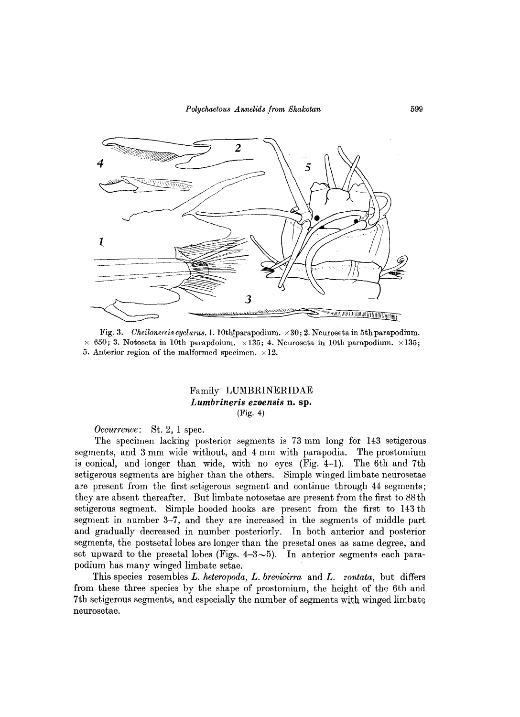

Fig. 3. *Cheilonereis cyclurus.* 1. 10th!parapodium.  $\times 30$ ; 2. Neuroseta in 5th parapodium.  $\times$  650; 3. Notoseta in 10th parapdoium.  $\times$ 135; 4. Neuroseta in 10th parapodium.  $\times$ 135; 5. Anterior region of the malformed specimen.  $\times 12$ .

## Family LUMBRINERIDAE *Lumbrineris ezoensis* **n.** sp. (Fig. 4)

*Occurrence:* St. 2, 1 spec.

The specimen lacking posterior segments is 73 mm long for 143 setigerous segments, and 3 mm wide without, and 4 mm with parapodia. The prostomium is conical, and longer than wide, with no eyes (Fig. 4-1). The 6th and 7th setigerous segments are higher than the others. Simple winged limbate neurosetae are present from the first setigerous segment and continue through 44 segments; they are absent thereafter. But limbate notosetae are present from the first to 88th setigerous segment. Simple hooded hooks are present from the first to 143 th segment in number 3-7, and they are increased in the segments of middle part and gradually decreased in number posteriorly. In both anterior and posterior segments, the postsetal lobes are longer than the presetal ones as same degree, and set upward to the presetal lobes (Figs.  $4-3\sim5$ ). In anterior segments each parapodium has many winged limbate setae.

This species resembles *L. heteropoda, L. brevicirra* and *L. 2'ontata,* but differs from these three species by the shape of prostomium, the height of the 6th and 7th setigerous segments, and especially the number of segments with winged limbate neurosetae.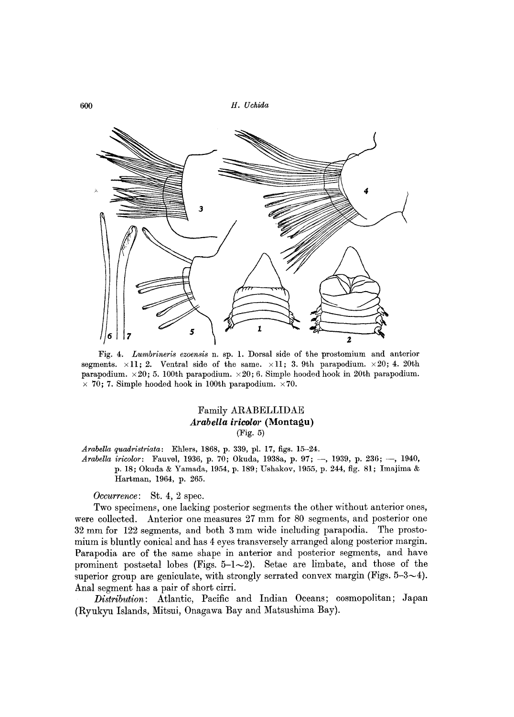

Fig. 4. *Lumbrineris ezoensis* n. sp. 1. Dorsal side of the prostomium and anterior segments.  $\times$ 11; 2. Ventral side of the same.  $\times$ 11; 3. 9th parapodium.  $\times$ 20; 4. 20th parapodium.  $\times 20$ ; 5. 100th parapodium.  $\times 20$ ; 6. Simple hooded hook in 20th parapodium.  $\times$  70; 7. Simple hooded hook in 100th parapodium.  $\times$  70.

## Family ARABELLIDAE *Arabella iricolor* **(Montagu)**  (Fig. 5)

*Arabella quadristriata:* Ehlers, 1868, p. 339, pI. 17, figs. 15-24. Arabella iricolor: Fauvel, 1936, p. 70; Okuda, 1938a, p. 97; -, 1939, p. 236; -, 1940, p. 18; Okuda & Yamada, 1954, p. 189; Ushakov, 1955, p. 244, fig. 81; Imajima & Hartman, 1964, p. 265.

*Occurrence:* St. 4, 2 spec.

Two specimens, one lacking posterior segments the other without anterior ones, were collected. Anterior one measures 27 mm for 80 segments, and posterior one 32 mm for 122 segments, and both 3 mm wide including parapodia. The prostomium is bluntly conical and has 4 eyes transversely arranged along posterior margin. Parapodia are of the same shape in anterior and posterior segments, and have prominent postsetal lobes (Figs.  $5-1-2$ ). Setae are limbate, and those of the superior group are geniculate, with strongly serrated convex margin (Figs.  $5-3-4$ ). Anal segment has a pair of short cirri.

*Distribution:* Atlantic, Pacific and Indian Oceans; cosmopolitan; Japan (Ryukyu Islands, Mitsui, Onagawa Bay and Matsushima Bay).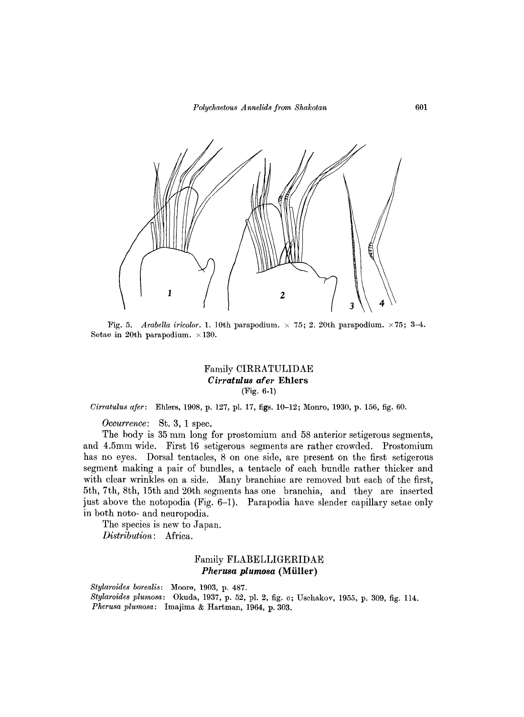

Fig. 5. *Arabella iricolor.* 1. 10th parapodium.  $\times$  75; 2. 20th parapodium.  $\times$  75; 3-4. Setae in 20th parapodium.  $\times 130$ .

## Family OIRRATULIDAE *Cirratulus afer* **Ehlers**  (Fig. 6-1)

*Oirratulus afer:* Ehlers, 1908, p. 127, pI. 17, figs. 10-12; Monro, 1930, p. 156, fig. 60.

*Occurrence:* St. 3, 1 spec.

The hody is 35 mm long for prostomium and 58 anterior setigerous segments, and 4.5mm wide. First 16 setigerous segments are rather crowded. Prostomium has no eyes. Dorsal tentacles, 8 on one side, are present on the first setigerous segment making a pair of bundles, a tentacle of each bundle rather thicker and with clear wrinkles on a side. Many branchiae are removed but each of the first, 5th, 7th, 8th, 15th and 20th segments has one branchia, and they are inserted just above the notopodia (Fig. 6-1). Parapodia have slender capillary setae only in both noto- and neuropodia.

The species is new to Japan. *Distribution:* Africa.

#### Family FLABELLIGERIDAE *Pherusa plumosa* **(Miiller)**

*Stylaroides borealis:* Moore, 1903, p. 487. *Stylaroides plumosa:* Okuda, 1937, p. 52, pI. 2, fig. c; Uschakov, 1955, p. 309, fig. 114. *Pherusa plumosa:* Imajima & Hartman, 1964, p. 303.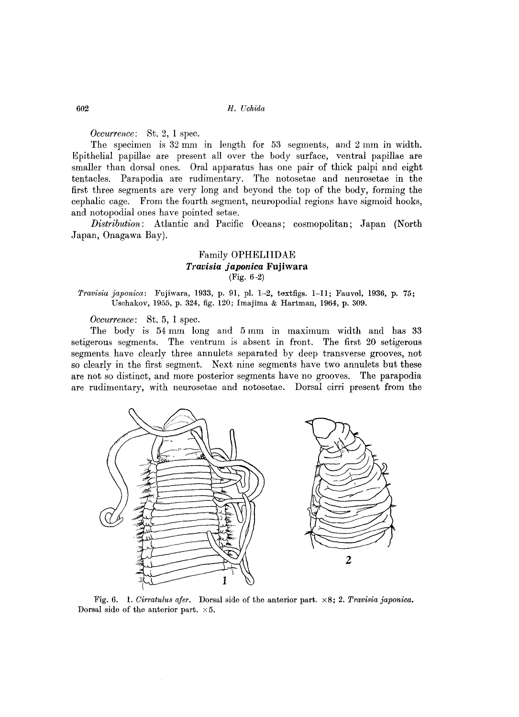*Occurrence:* St. 2, 1 spec.

The specimen is 32 mm in length for 53 segments, and 2 mm in width. mpithelial papillae are present all over the body surface, ventral papillae are smaller than dorsal ones. Oral apparatus has one pair of thick palpi and eight tentacles. Parapodia are rudimentary. The notosetae and neurosetae in the first three segments are very long and beyond the top of the body, forming the cephalic cage. From the fourth segment, neuropodial regions have sigmoid hooks, and notopodial ones have pointed setae.

*Distribution:* Atlantic and Pacific Oceans; cosmopolitan; Japan (North Japan, Onagawa Bay).

## Family **OPHELIIDAE**  *Travisia japonica* **Fujiwara**  (Fig. 6-2)

*Travisia japonica*: Fujiwara, 1933, p. 91, pl. 1-2, textfigs. 1-11; Fauvel, 1936, p. 75; Uschakov, 1955, p. 324, fig. 120; Imajima & Hartman, 1964, p. 309.

*Occurrence:* St. 5, 1 spec.

The body is 54 mm long and 5 mm in maximum width and has 33 setigerous segments. The ventrum is absent in front. The first 20 setigerous segments have clearly three annulets separated by deep transverse grooves, not so clearly in the first segment. Next nine segments have two annulets but these are not so distinct, and more posterior segments have no grooves. The parapodia are rudimentary, with neurosetae and notosetae. Dorsal cirri present from the



Fig. 6. 1. *Cirratulus afer.* Dorsal side of the anterior part. x 8; 2. *Travisia japonica.*  Dorsal side of the anterior part.  $\times 5$ .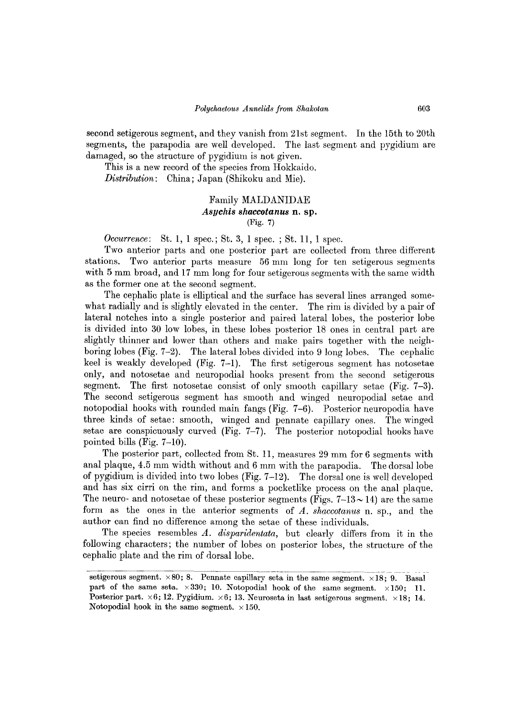second setigerous segment, and they vanish from 21st segment. In the 15th to 20th segments, the parapodia are well developed. The last segment and pygidium are damaged, so the structure of pygidium is not given.

This is a new record of the species from Hokkaido. *Distribution:* China; Japan (Shikoku and Mie).

#### Family MALDANIDAE *Asychis shaccotanus* **n. sp.**  (Fig. 7)

*Occurrence*: St. 1, 1 spec.; St. 3, 1 spec.; St. 11, 1 spec.

Two anterior parts and one posterior part are collected from three different stations. Two anterior parts measure 56 mm long for ten setigerous segments with 5 mm broad, and 17 mm long for four setigerous segments with the same width as the former one at the second segment.

The cephalic plate is elliptical and the surface has several lines arranged somewhat radially and is slightly elevated in the center. The rim is divided by a pair of lateral notches into a single posterior and paired lateral lobes, the posterior lobe is divided into 30 low lobes, in these lobes posterior 18 ones in central part are slightly thinner and lower than others and make pairs together with the neighboring lobes (Fig. 7-2). The lateral lobes divided into 9 long lobes. The cephalic keel is weakly developed (Fig. 7-1). The first setigerous segment has notosetae only, and notosetae and neuropodial hooks present from the second setigerous segment. The first notosetae consist of only smooth capillary setae (Fig. 7-3). The second setigerous segment has smooth and winged neuropodial setae and notopodial hooks with rounded main fangs (Fig. 7-6). Posterior neuropodia have three kinds of setae: smooth, winged and pennate capillary ones. The winged setae are conspicuously curved (Fig. 7-7). The posterior notopodial hooks have pointed bills (Fig. 7-10).

The posterior part, collected from St. 11, measures 29 mm for 6 segments with anal plaque, 4.5 mm width without and 6 mm with the parapodia. The dorsal lobe of pygidium is divided into two lobes (Fig. 7-12). The dorsal one is well developed and has six cirri on the rim, and forms a pocketlike process on the anal plaque. The neuro- and notosetae of these posterior segments (Figs.  $7-13\sim 14$ ) are the same form as the ones in the anterior segments of *A. shaccotanus* n. sp., and the author can find no difference among the setae of these individuals.

The species resembles A. disparidentata, but clearly differs from it in the following characters; the number of lobes on posterior lobes, the structure of the cephalic plate and the rim of dorsal lobe.

 $\overline{\text{setigeros segment.}\times 80; 8.}$  Pennate capillary seta in the same segment.  $\times 18; 9.$  Basal part of the same seta.  $\times 330$ ; 10. Notopodial hook of the same segment.  $\times 150$ ; 11. Posterior part.  $\times 6$ ; 12. Pygidium.  $\times 6$ ; 13. Neuroseta in last setigerous segment.  $\times 18$ ; 14. Notopodial hook in the same segment.  $\times 150$ .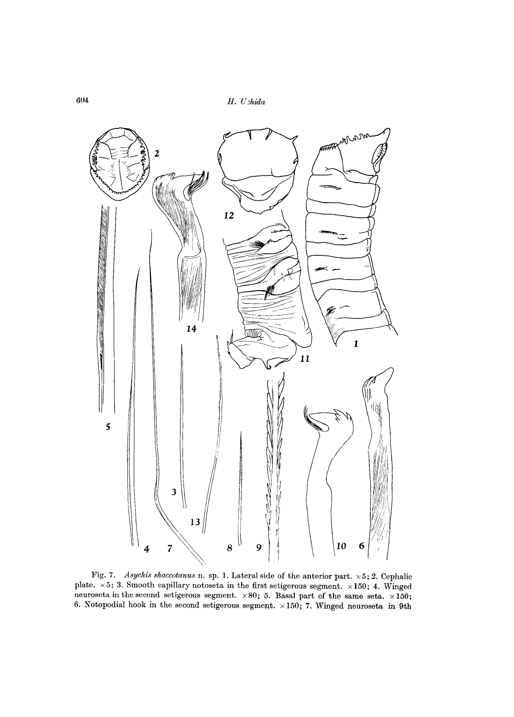604 *H. U;hirla* 



Fig. 7. *Asychis shaccutanus* n. sp. 1. Lateral side of the anterior part. x 5; 2. Cephalic plate.  $\times 5$ ; 3. Smooth capillary notoseta in the first setigerous segment.  $\times 150$ ; 4. Winged neuroseta in the second setigerous segment.  $\times 80$ ; 5. Basal part of the same seta.  $\times 150$ ; 6. Notopodial hook in the second setigerous segment.  $\times 150$ ; 7. Winged neuroseta in 9th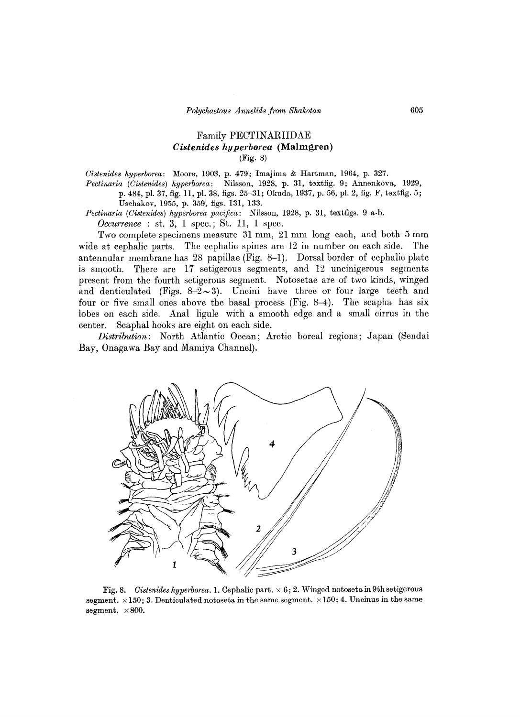## Family PECTINARIIDAE *Cistenides hyperborea* (Malmgren) (Fig. 8)

*Cistenides hyperborea:* Moore, 1903, p. 479; Imajima & Hartman, 1964, p. 327. *Pectinaria (Cistenides) hyperborea:* Nilsson, 1928, p. 31, toxtfig. 9; Annenkova, 1929, p. 484, pI. 37, fig. 11, pI. 38, figs. 25-31; Okuda, 1937, p. 56, pI. 2, fig. F, textfig. 5; Uschakov, 1955, p. 359, figs. 131, 133.

*Pectinaria (Cistenides) hyperborea pacifica:* Nilsson, 1928, p. 31, textfigs. 9 a·b.

*Occurrence* : st. 3, 1 spec.; St. 11, 1 spec.

Two complete specimens measure 31 mm, 21 mm long each, and both 5 mm wide at cephalic parts. The cephalic spines are 12 in number on each side. The antennular membrane has 28 papillae (Fig. 8-1). Dorsal border of cephalic plate is smooth. There are 17 setigerous segments, and 12 uncinigerous segments present from the fourth setigerous segment. Notosetae are of two kinds, winged and denticulated (Figs.  $8-\overline{2}\sim 3$ ). Uncini have three or four large teeth and four or five small ones above the basal process (Fig. 8-4). The scapha has six lobes on each side. Anal ligule with a smooth edge and a small cirrus in the center. Scaphal hooks are eight on each side.

*Distribution:* North Atlantic Ocean; Arctic boreal regions; Japan (Sendai Bay, Onagawa Bay and Mamiya Channel).



Fig. 8. *Cistenides hyperborea.* 1. Cephalic part. x 6; 2. Winged notoseta in 9th setigerous segment.  $\times 150$ ; 3. Denticulated notoseta in the same segment.  $\times 150$ ; 4. Uncinus in the same segment.  $\times 800$ .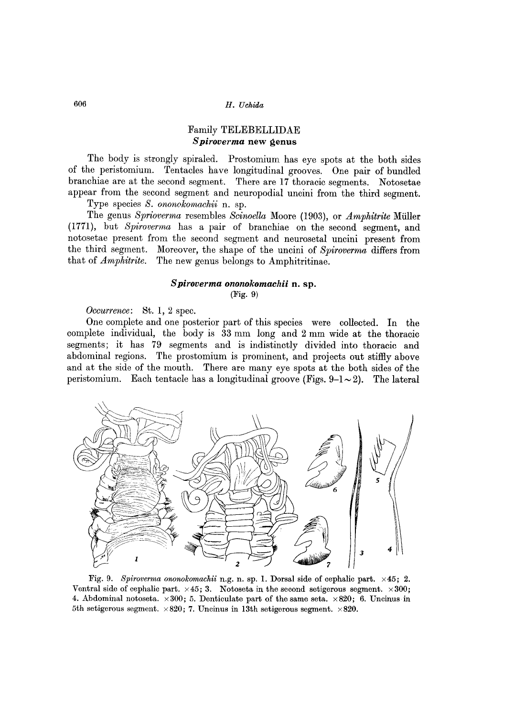## Family TELEBELLIDAE *S piroverma* **new genus**

The body is strongly spiraled. Prostomium has eye spots at the both sides of the peristomium. Tentacles have longitudinal grooves. One pair of bundled branchiae are at the second segment. There are 17 thoracic segments. Notosetae appear from the second segment and neuropodial uncini from the third segment. Type species *S. ononokomachii* n. sp.

The genus *Sprioverma* resembles *Scinoella* Moore (1903), or *Amphitrite* Muller (1771), but *Spiro verma* has a pair of branchiae on the second segment, and notosetae present from the second segment and neurosetal uncini present from the third segment. Moreover, the shape of the uncini of *Spiroverma* differs from that of *Amphitrite.* The new genus belongs to Amphitritinae.

## *S piroverma ononokomachii* **n. sp.**

(Fig. 9)

*Occurrence:* St. 1, 2 spec.

One complete and one posterior part of this species were collected. In the complete individual, the body is 33 mm long and 2 mm wide at the thoracic segments; it has 79 segments and is indistinctly divided into thoracic and abdominal regions. The prostomium is prominent, and projects out stiffiyabove and at the side of the mouth. There are many eye spots at the both sides of the peristomium. Each tentacle has a longitudinal groove (Figs.  $9-1 \sim 2$ ). The lateral



Fig. 9. *Spiroverma ononokomachii* n.g. n. sp. 1. Dorsal side of cephalic part. x45; 2. Ventral side of cephalic part.  $\times 45$ ; 3. Notoseta in the second setigerous segment.  $\times 300$ ; 4. Abdominal notoseta.  $\times 300$ ; 5. Denticulate part of the same seta.  $\times 820$ ; 6. Uncinus in 5th setigerous segment.  $\times 820$ ; 7. Uncinus in 13th setigerous segment.  $\times 820$ .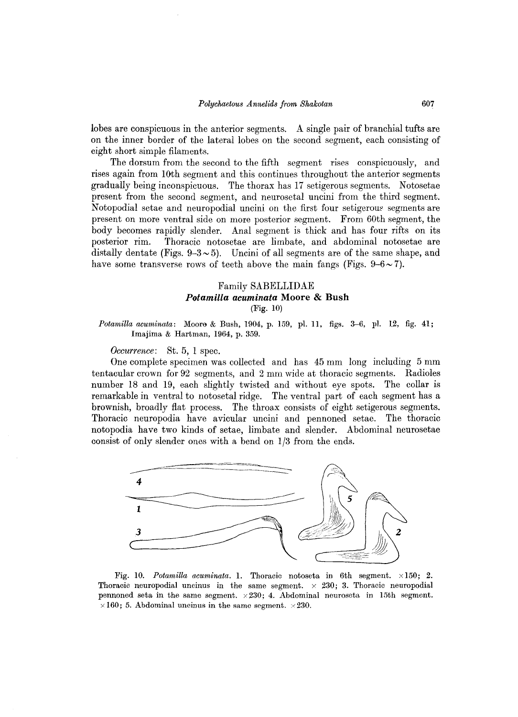lobes are conspicuous in the anterior segments. A single pair of branchial tufts are on the inner border of the lateral lobes on the second segment, each consisting of eight short simple filaments.

The dorsum from the second to the fifth segment rises conspicuously, and rises again from 10th segment and this continues throughout the anterior segments gradually being inconspicuous. The thorax has 17 setigerous segments. Notosetae present from the second segment, and neurosetal uncini from the third segment. Notopodial setae and neuropodial uncini on the first four setigerous segments are present on more ventral side on more posterior segment. From 60th segment, the body becomes rapidly slender. Anal segment is thick and has four rifts on its posterior rim. Thoracic notosetae are limbate, and abdominal notosetae are distally dentate (Figs.  $9-3\sim 5$ ). Uncini of all segments are of the same shape, and have some transverse rows of teeth above the main fangs (Figs.  $9-6 \sim 7$ ).

## Family SABELLIDAE *Potamilla acuminata* **Moore & Bush**  (Fig. 10)

*Potamilla acuminata:* Moore & Bush, 1904, p. 159, pl. 11, figs. 3-6, pl. 12, fig. 41; Imajima & Hartman, 1964, p. 359.

*Occurrence:* St. 5, 1 spec.

One complete specimen was collected and has 45 mm long including 5 mm tentacular crown for 92 segments, and 2 mm wide at thoracic segments. Radioles number 18 and 19, each slightly twisted and without eye spots. The collar is remarkable in ventral to notosetal ridge. The ventral part of each segment has a brownish, broadly flat process. The throax consists of eight setigerous segments. Thoracic neuropodia have avicular uncini and pennoned setae. The thoracic notopodia have two kinds of setae, limbate and slender. Abdominal neurosetae consist of only slender ones with a bend on 1/3 from the ends.



Fig. 10. *Potamilla acuminata.* 1. Thoracic notoseta in 6th segment. x 150; 2. Thoracic neuropodial uncinus in the same segment.  $\times$  230; 3. Thoracic neuropodial pennoned seta in the same segment.  $\times 230$ ; 4. Abdominal neuroseta in 15th segment.  $\times 160$ ; 5. Abdominal uncinus in the same segment.  $\times 230$ .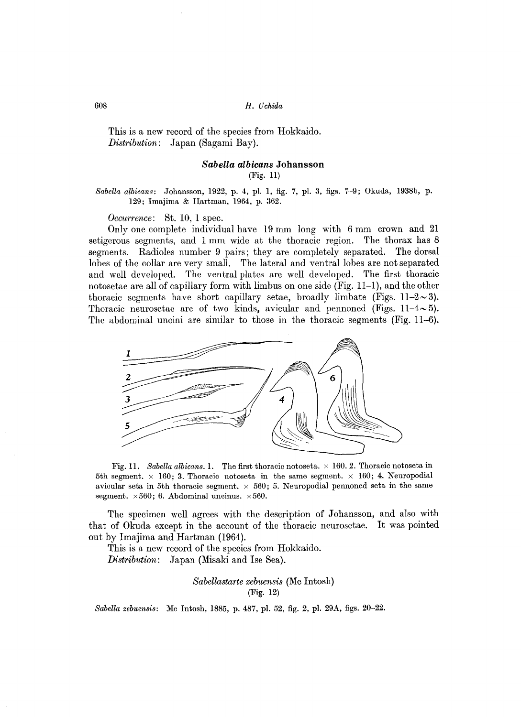This is a new record of the species from Hokkaido. *Distribution:* Japan (Sagami Bay).

#### *Sabella albicans* Johansson (Fig. 11)

#### *Sabella albicans:* Johansson, 1922, p. 4, pl. 1, fig. 7, pl. 3, figs. 7-9; Okuda, 1938b, p. 129; Imajima & Hartman, 1964, p. 362.

*Occurrence:* St. 10, 1 spec.

Only one complete individual have 19 mm long with 6 mm crown and 21 setigerous segments, and 1 mm wide at the thoracic region. The thorax has 8 segments. Radioles number 9 pairs; they are completely separated. The dorsal lobes of the collar are very small. The lateral and ventral lobes are not separated and well developed. The ventral plates are well developed. The first thoracic notosetae are all of capillary form with limbus on one side (Fig. 11-1), and the other thoracic segments have short capillary setae, broadly limbate (Figs.  $11-2\sim 3$ ). Thoracic neurosetae are of two kinds, avicular and pennoned (Figs.  $11-4 \sim 5$ ). The abdominal uncini are similar to those in the thoracic segments (Fig. 11-6).



Fig. 11. *Sabella albicans.* 1. The first thoracic notoseta.  $\times$  160. 2. Thoracic notoseta in 5th segment,  $\times$  160; 3. Thoracic notoseta in the same segment,  $\times$  160; 4. Neuropodial avicular seta in 5th thoracic segment.  $\times$  560; 5. Neuropodial pennoned seta in the same segment.  $\times 560$ ; 6. Abdominal uncinus.  $\times 560$ .

The specimen well agrees with the description of Johansson, and also with that of Okuda except in the account of the thoracic neurosetae. It was pointed out by Imajima and Hartman (1964).

This is a new record of the species from Hokkaido. *D1'stribution:* Japan (Misaki and Ise Sea).

> *Sabellastarte zebuensis* (Mc Intosh) (Fig. 12)

*Sabella zebuensis:* Mc Intosh, 1885, p. 487, pI. 52, fig. 2, pl. *29A,* figs. 20-22.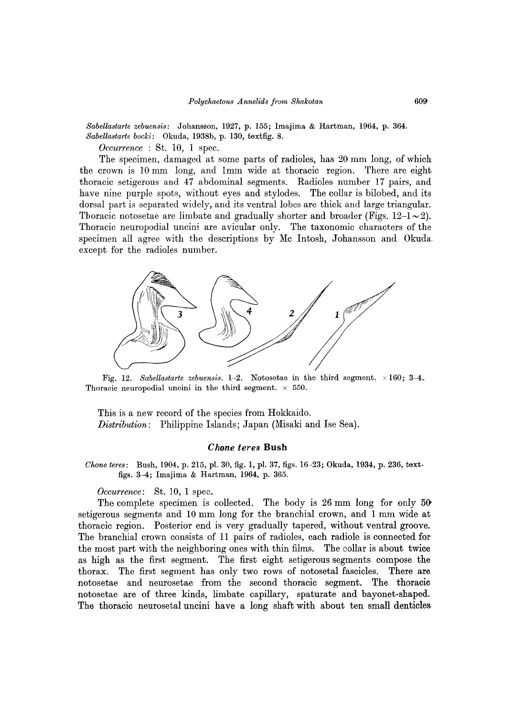*Sabellastarte zebuensis:* Johansson, 1927, p. 155; Imajima & Hartman, 1964, p. 364. *Sabellastarte bocki:* Okuda, 1938b, p. 130, textfig. 8.

*Occurrence* : St. 10, 1 spec.

The specimen, damaged at some parts of radioles, has 20 mm long, of which the crown is 10 mm long, and Imm wide at thoracic region. There are eight thoracic setigerous and 47 abdominal segments. Radioles number 17 pairs, and have nine purple spots, without eyes and stylodes. The collar is bilobed, and its dorsal part is separated widely, and its ventral lobes are thick and large triangular. Thoracic notosetae are limbate and gradually shorter and broader (Figs.  $12-1 \sim 2$ ). Thoracic neuropodial uncini are avicular only. The taxonomic characters of the specimen all agree with the descriptions by Mc Intosh, Johansson and Okuda, except for the radioles number.



Fig. 12. *Sabellastarte zebuensis.* 1-2. Notosetae in the third segment. x 160; 3-4. Thoracic neuropodial uncini in the third segment.  $\times$  550.

This is a new record of the species from Hokkaido. *Distribution:* Philippine Islands; Japan (Misaki and Ise Sea).

#### C *hone teres* **Bush**

*Chone teres:* Bush, 1904, p. 215, pI. 30, fig. 1, pI. 37, figs. 16-23; Okuda, 1934, p. 236, textfigs. 3-4; Imajima & Hartman, 1964, p. 365.

*Occurrence:* St. 10, 1 spec.

The complete specimen is collected. The body is 26 mm long for only 50 setigerous segments and lO mm long for the branchial crown, and 1 mm wide at thoracic region. Posterior end is very gradually tapered, without ventral groove. The branchial crown consists of 11 pairs of radioles, each radiole is connected for the most part with the neighboring ones with thin films. The collar is about twice as high as the first segment. The first eight setigerous segments compose the thorax. The first segment has only two rows of notosetal fascicles. There are notosetae and neurosetae from the second thoracic segment. The thoracic notosetae are of three kinds, limbate capillary, spaturate and bayonet-shaped. The thoracic neurosetal uncini have a long shaft with about ten small denticles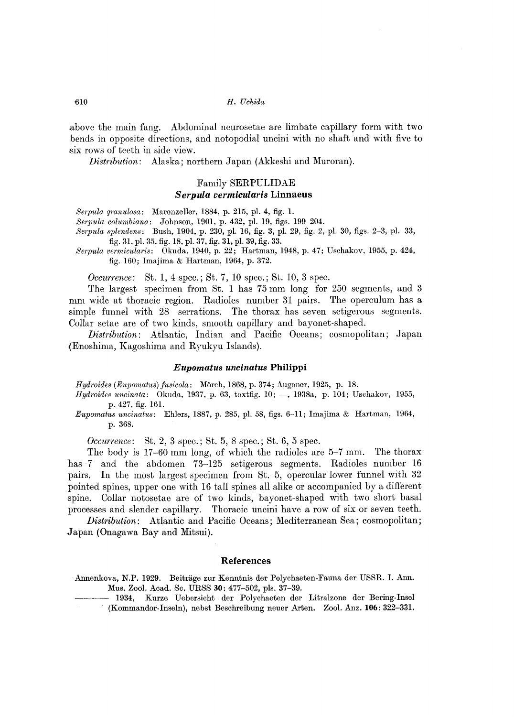above the main fang. Abdominal neurosetae are limbate capillary form with two bends in opposite directions, and notopodial uncini with no shaft and with five to six rows of teeth in side view.

*Distribution:* Alaska; northern Japan (Akkeshi and Muroran).

## Family SERPULIDAE *Serpula vermicularis* Linnaeus

*Serpula granulosa:* Marenzeller, 1884, p. 215, pI. 4, fig. 1.

*Serpula columbiana:* Johnson, 1901, p. 432, pI. 19, figs. 199-204.

*Serpula splendens:* Bush, 1904, p. 230, pI. 16, fig. 3, pI. 29, fig. 2, pI. 30, figs. 2-3, pI. 33, fig. 31, pI. 35, fig. 18, pI. 37, fig. 31, pI. 39, fig. 33.

*Serpula vermicularis:* Okuda, 1940, p. 22; Hartman, 1948, p. 47; Uschakov, 1955, p. 424, fig. 160; lmajima & Hartman, 1964, p. 372.

*Occurrence*: St. 1, 4 spec.; St. 7, 10 spec.; St. 10, 3 spec.

The largest specimen from St. 1 has 75 mm long for 250 segments, and 3 mm wide at thoracic region. Radioles number 31 pairs. The operculum has a simple funnel with 28 serrations. The thorax has seven setigerous segments. Collar setae are of two kinds, smooth capillary and bayonet-shaped.

*Distribution:* Atlantic, Indian and Pacific Oceans; cosmopolitan; Japan (Enoshima, Kagoshima and Ryukyu Islands).

#### *Eupomatus uncinatus* **Philippi**

*Hydroides (Eupomatus) fusicola:* Mörch, 1868, p. 374; Augener, 1925, p. 18.

*Hydroides uncinata:* Okuda, 1937, p. 63, toxtfig. 10; -, 1938a, p. 104; Uschakov, 1955, p. 427, fig. 161.

*Eupomatus uncinatus:* Ehlers, 1887, p. 285, pI. 58, figs. 6-11; lmajima & Hartman, 1964, p.368.

*Occurrence:* St. 2, 3 spec.; St. 5, 8 spec.; St. 6, 5 spec.

The body is 17-60 mm long, of which the radioles are 5-7 mm. The thorax has 7 and the abdomen 73-125 setigerous segments. Radioles number 16 pairs. In the most largest specimen from St. 5, opercular lower funnel with 32 pointed spines, upper one with 16 tall spines all alike or accompanied by a different spine. Collar notosetae are of two kinds, bayonet-shaped with two short basal processes and slender capillary. Thoracic uncini have a row of six or seven teeth.

*Distribution:* Atlantic and Pacific Oceans; Mediterranean Sea; cosmopolitan; .Japan (Onagawa Bay and Mitsui).

#### References

| Annenkova, N.P. 1929. Beiträge zur Kenntnis der Polychaeten-Fauna der USSR. I. Ann. |
|-------------------------------------------------------------------------------------|
| Mus. Zool. Acad. Sc. URSS 30: 477-502, pls. 37-39.                                  |

1934, Kurze Uebersicht der Polychaeten der Litralzone der Bering-Insel (Kommandor-Inseln), nebst Beschreibung neuer Arlen. ZooI. Anz. 106: 322-331.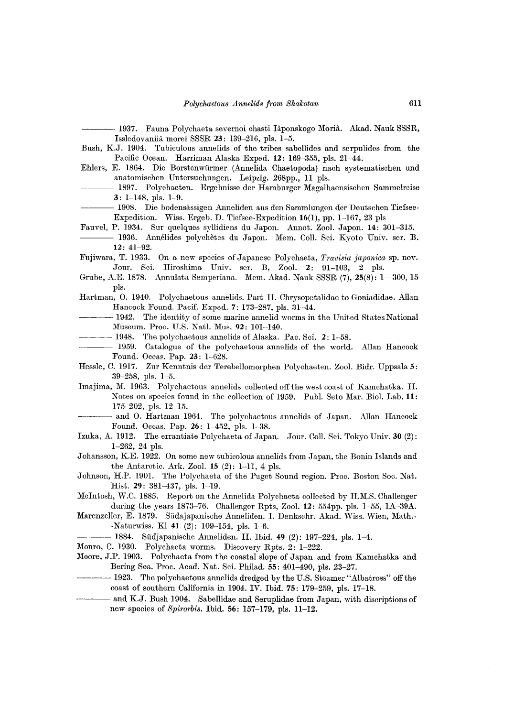- 1937. Fauna Polychaeta severnoi chasti Iâponskogo Moriâ. Akad. Nauk SSSR, Issledovaniia morei SSSR 23: 139~216, pIs. 1-5.

Bush, K.J. 1904. Tubiculous annelids of the tribes sabellides and serpulides from the Pacific Ocean. Harriman Alaska Exped. 12: 169-355, pls. 21-44.

- Ehlers, E. 1864. Die Borstenwiirmer (Annelida Chaetopoda) nach systematischen und anatomischen Untersuchungen. Leipzig. 268pp., 11 pIs.
- 1897. Polychaeten. Ergebnisse der Hamburger Magalhaensischen Sammelreise 3: 1-148, pIs. 1-9.

- 1908. Die bodensässigen Anneliden aus den Sammlungen der Deutschen Tiefsee-Expedition. Wiss. Ergeb. D. Tiefsee-Expedition 16(1), pp. 1-167, 23 pIs

Fauvel, P. 1934. Sur quelques syllidiens du Japon. Annot. Zool. Japon. 14: 301~315.

- 1936. Annelides polychètes du Japon. Mem. Coll. Sci. Kyoto Univ. ser. B. 12: 41-92.
- Fujiwara, T. 1933. On a new species of Japanese Polychaeta, *Travisia japonica* sp. nov. Jour. Sci. Hiroshima Univ. ser. B, Zool. 2: 91-103, 2 pls.
- Grube, A.E. 1878. Annulata Semperiana. Mem. Akad. Nauk SSSR (7), 25(8): 1-300, 15 pIs.
- Hartman, O. 1940. Polychaetous annelids. Part II. Chrysopetalidae to Goniadidae. Allan Hancock Found. Pacif. Exped. 7: 173-287, pls. 31-44.
- -1942. The identity of some marine annelid worms in the United States National Museum. Proc. U.S. Natl. Mus. 92: 101-140.
- $-1948.$  The polychaetous annelids of Alaska. Pac. Sci. 2: 1-58.
- 1959. Catalogue of the polychaetous annelids of the world. Allan Hancock Found. Occas. Pap. 23: 1-628.
- Hessle, C. 1917. Zur Kenntnis der Terebellomorphen Polychaeten. Zool. Bidr. Uppsala 5: 39-258, pIs. 1-5.
- Imajima, M. 1963. Polychaetous annelids collected off the west coast of Kamchatka. II. Notes on species found in the collection of 1959. Publ. Seto Mar. Biol. Lab. 11: 175-202, pIs. 12-15.
- and O. Hartman 1964. The polychaetous annelids of Japan. Allan Hancock Found. Occas. Pap. 26: 1-452, pls. 1-38.
- Izuka, A. 1912. The errantiate Polychaeta of Japan. Jour. ColI. Sci. Tokyo Univ. 30 (2): 1-262, 24 pIs.
- Johansson, K.E. 1922. On some new tubicolous annelids from Japan, the Bonin Islands and the Antarctic. Ark. Zool. 15 (2): 1-11, 4 pIs.
- Johnson, H.P. 1901. The Polychaeta of the Puget Sound region. Proc. Boston Soc. Nat. Hist. 29: 381-437, pls. 1-19.
- McIntosh, W.C. 1885. Report on the Annelida Polychaeta collected by H.M.S. Challenger during the years 1873-76. Challenger Rpts, Zool. 12: 554pp. pIs. 1-55, *1A-39A.*
- Marenzeller, E. 1879. Siidajapanische Anneliden. I. Denkschr. Akad. Wiss. Wien, Math.- -Naturwiss. KI 41 (2): 109-154, pIs. 1-6.
- 1884. Südjapanische Anneliden. II. Ibid. 49 (2): 197-224, pls. 1-4.
- Monro, C. 1930. Polychaeta worms. Discovery Rpts. 2: 1-222.
- Moore, J.P. 1903. Polychaeta from the coastal slope of Japan and from Kamchatka and Bering Sea. Proc. Acad. Nat. Sci. Philad. 55: 401-490, pls. 23-27.
- ---- 1923. The polychaetous annelids dredged by the U.S. Steamer "Albatross" off the coast of southern California in 1904. IV. Ibid. 75: 179-259, pIs. 17-18.
- and K.J. Bush 1904. Sabellidae and Seruplidae from Japan, with discriptions of new species of *Spirorbis.* Ibid. 56: 157~179, pIs. 11~12.